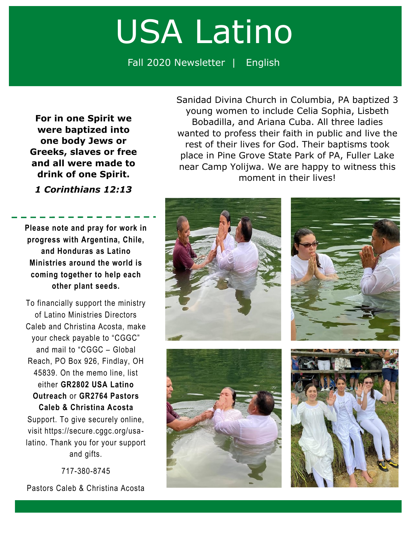## USA Latino

Fall 2020 Newsletter | English

**For in one Spirit we were baptized into one body Jews or Greeks, slaves or free and all were made to drink of one Spirit.**

*1 Corinthians 12:13*

**Please note and pray for work in progress with Argentina, Chile, and Honduras as Latino Ministries around the world is coming together to help each other plant seeds.**

To financially support the ministry of Latino Ministries Directors Caleb and Christina Acosta, make your check payable to "CGGC" and mail to "CGGC – Global Reach, PO Box 926, Findlay, OH 45839. On the memo line, list either **GR2802 USA Latino Outreach** or **GR2764 Pastors Caleb & Christina Acosta** Support. To give securely online,

visit https://secure.cggc.org/usalatino. Thank you for your support and gifts.

717-380-8745

Pastors Caleb & Christina Acosta

Sanidad Divina Church in Columbia, PA baptized 3 young women to include Celia Sophia, Lisbeth Bobadilla, and Ariana Cuba. All three ladies wanted to profess their faith in public and live the rest of their lives for God. Their baptisms took place in Pine Grove State Park of PA, Fuller Lake near Camp Yolijwa. We are happy to witness this moment in their lives!